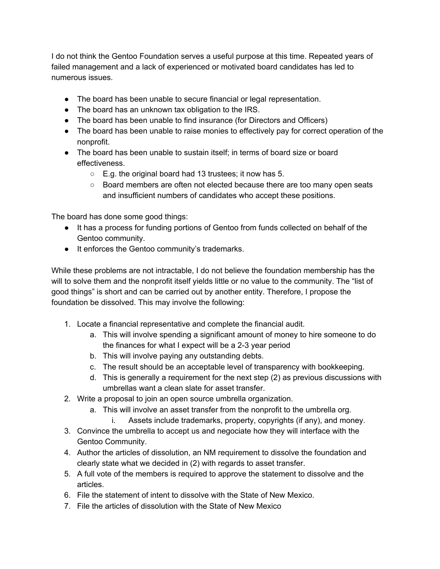I do not think the Gentoo Foundation serves a useful purpose at this time. Repeated years of failed management and a lack of experienced or motivated board candidates has led to numerous issues.

- The board has been unable to secure financial or legal representation.
- The board has an unknown tax obligation to the IRS.
- The board has been unable to find insurance (for Directors and Officers)
- The board has been unable to raise monies to effectively pay for correct operation of the nonprofit.
- The board has been unable to sustain itself; in terms of board size or board effectiveness.
	- E.g. the original board had 13 trustees; it now has 5.
	- Board members are often not elected because there are too many open seats and insufficient numbers of candidates who accept these positions.

The board has done some good things:

- It has a process for funding portions of Gentoo from funds collected on behalf of the Gentoo community.
- It enforces the Gentoo community's trademarks.

While these problems are not intractable, I do not believe the foundation membership has the will to solve them and the nonprofit itself yields little or no value to the community. The "list of good things" is short and can be carried out by another entity. Therefore, I propose the foundation be dissolved. This may involve the following:

- 1. Locate a financial representative and complete the financial audit.
	- a. This will involve spending a significant amount of money to hire someone to do the finances for what I expect will be a 2-3 year period
	- b. This will involve paying any outstanding debts.
	- c. The result should be an acceptable level of transparency with bookkeeping.
	- d. This is generally a requirement for the next step (2) as previous discussions with umbrellas want a clean slate for asset transfer.
- 2. Write a proposal to join an open source umbrella organization.
	- a. This will involve an asset transfer from the nonprofit to the umbrella org.
		- i. Assets include trademarks, property, copyrights (if any), and money.
- 3. Convince the umbrella to accept us and negociate how they will interface with the Gentoo Community.
- 4. Author the articles of dissolution, an NM requirement to dissolve the foundation and clearly state what we decided in (2) with regards to asset transfer.
- 5. A full vote of the members is required to approve the statement to dissolve and the articles.
- 6. File the statement of intent to dissolve with the State of New Mexico.
- 7. File the articles of dissolution with the State of New Mexico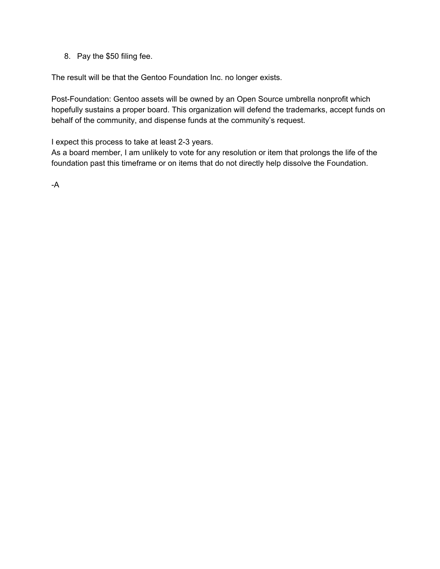8. Pay the \$50 filing fee.

The result will be that the Gentoo Foundation Inc. no longer exists.

Post-Foundation: Gentoo assets will be owned by an Open Source umbrella nonprofit which hopefully sustains a proper board. This organization will defend the trademarks, accept funds on behalf of the community, and dispense funds at the community's request.

I expect this process to take at least 2-3 years.

As a board member, I am unlikely to vote for any resolution or item that prolongs the life of the foundation past this timeframe or on items that do not directly help dissolve the Foundation.

-A